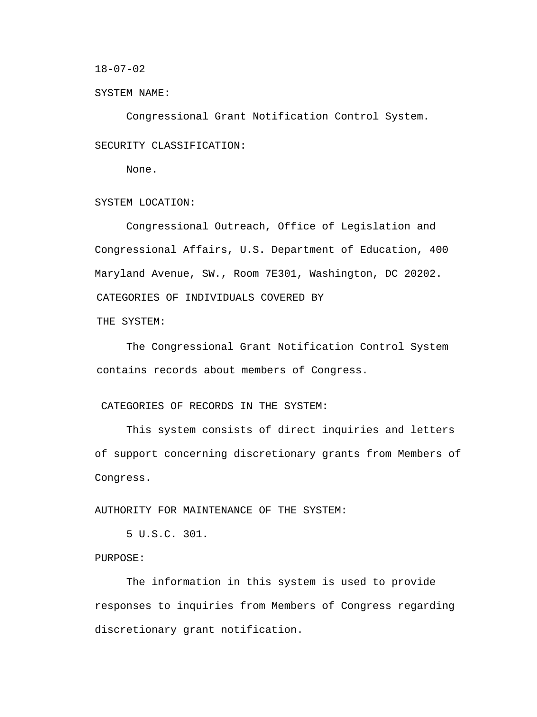$18-07-02$ 

SYSTEM NAME:

 Congressional Grant Notification Control System. SECURITY CLASSIFICATION:

None.

SYSTEM LOCATION:

Congressional Outreach, Office of Legislation and Congressional Affairs, U.S. Department of Education, 400 Maryland Avenue, SW., Room 7E301, Washington, DC 20202. CATEGORIES OF INDIVIDUALS COVERED BY

THE SYSTEM:

The Congressional Grant Notification Control System contains records about members of Congress.

## CATEGORIES OF RECORDS IN THE SYSTEM:

This system consists of direct inquiries and letters of support concerning discretionary grants from Members of Congress.

AUTHORITY FOR MAINTENANCE OF THE SYSTEM:

5 U.S.C. 301.

PURPOSE:

The information in this system is used to provide responses to inquiries from Members of Congress regarding discretionary grant notification.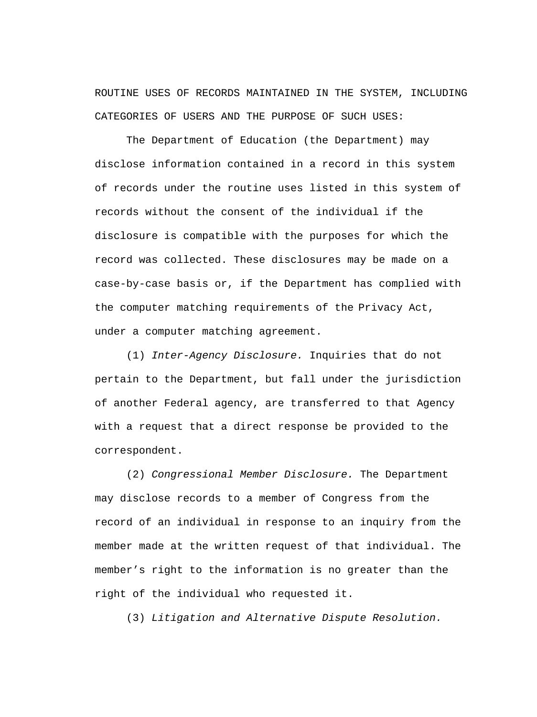ROUTINE USES OF RECORDS MAINTAINED IN THE SYSTEM, INCLUDING CATEGORIES OF USERS AND THE PURPOSE OF SUCH USES:

The Department of Education (the Department) may disclose information contained in a record in this system of records under the routine uses listed in this system of records without the consent of the individual if the disclosure is compatible with the purposes for which the record was collected. These disclosures may be made on a case-by-case basis or, if the Department has complied with the computer matching requirements of the Privacy Act, under a computer matching agreement.

(1) *Inter-Agency Disclosure.* Inquiries that do not pertain to the Department, but fall under the jurisdiction of another Federal agency, are transferred to that Agency with a request that a direct response be provided to the correspondent.

(2) *Congressional Member Disclosure.* The Department may disclose records to a member of Congress from the record of an individual in response to an inquiry from the member made at the written request of that individual. The member's right to the information is no greater than the right of the individual who requested it.

(3) *Litigation and Alternative Dispute Resolution.*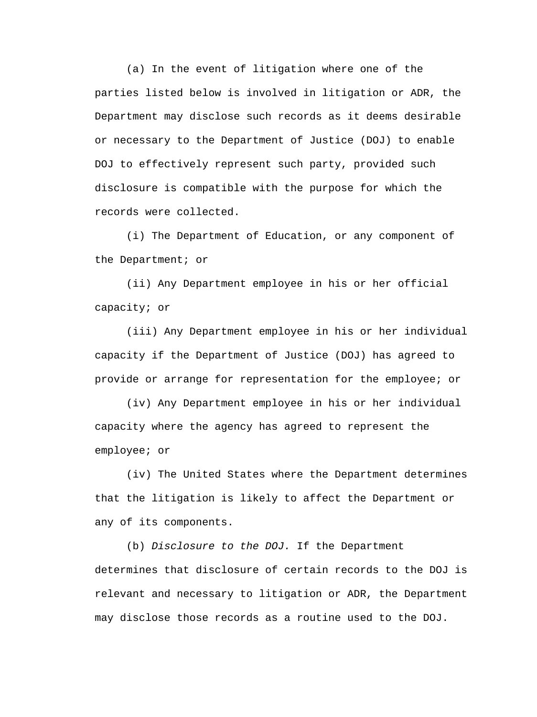(a) In the event of litigation where one of the parties listed below is involved in litigation or ADR, the Department may disclose such records as it deems desirable or necessary to the Department of Justice (DOJ) to enable DOJ to effectively represent such party, provided such disclosure is compatible with the purpose for which the records were collected.

(i) The Department of Education, or any component of the Department; or

(ii) Any Department employee in his or her official capacity; or

(iii) Any Department employee in his or her individual capacity if the Department of Justice (DOJ) has agreed to provide or arrange for representation for the employee; or

(iv) Any Department employee in his or her individual capacity where the agency has agreed to represent the employee; or

(iv) The United States where the Department determines that the litigation is likely to affect the Department or any of its components.

(b) *Disclosure to the DOJ.* If the Department determines that disclosure of certain records to the DOJ is relevant and necessary to litigation or ADR, the Department may disclose those records as a routine used to the DOJ.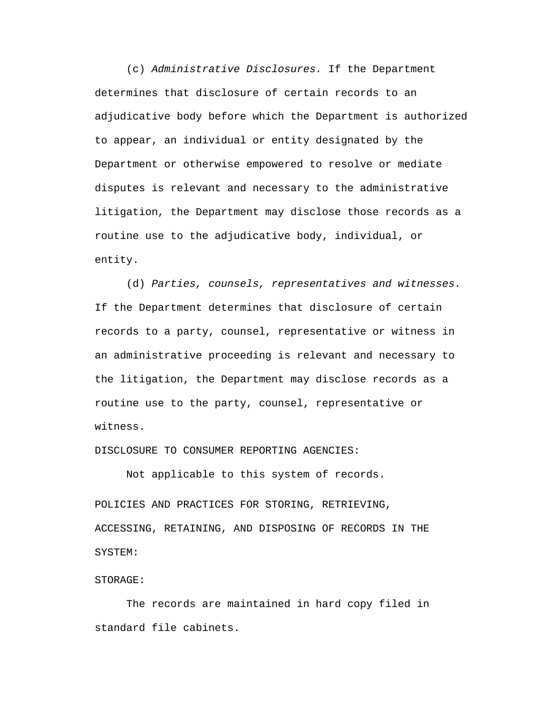(c) *Administrative Disclosures.* If the Department determines that disclosure of certain records to an adjudicative body before which the Department is authorized to appear, an individual or entity designated by the Department or otherwise empowered to resolve or mediate disputes is relevant and necessary to the administrative litigation, the Department may disclose those records as a routine use to the adjudicative body, individual, or entity.

(d) *Parties, counsels, representatives and witnesses.*  If the Department determines that disclosure of certain records to a party, counsel, representative or witness in an administrative proceeding is relevant and necessary to the litigation, the Department may disclose records as a routine use to the party, counsel, representative or witness.

DISCLOSURE TO CONSUMER REPORTING AGENCIES:

Not applicable to this system of records.

POLICIES AND PRACTICES FOR STORING, RETRIEVING, ACCESSING, RETAINING, AND DISPOSING OF RECORDS IN THE SYSTEM:

#### STORAGE:

The records are maintained in hard copy filed in standard file cabinets.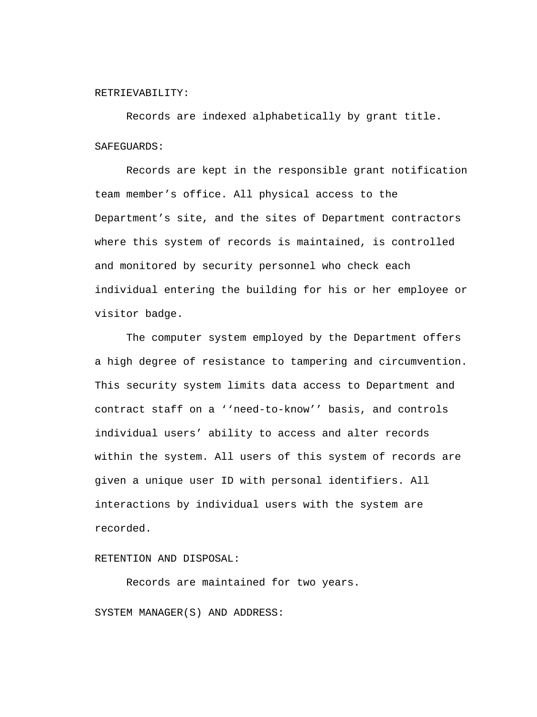#### RETRIEVABILITY:

Records are indexed alphabetically by grant title. SAFEGUARDS:

Records are kept in the responsible grant notification team member's office. All physical access to the Department's site, and the sites of Department contractors where this system of records is maintained, is controlled and monitored by security personnel who check each individual entering the building for his or her employee or visitor badge.

The computer system employed by the Department offers a high degree of resistance to tampering and circumvention. This security system limits data access to Department and contract staff on a ''need-to-know'' basis, and controls individual users' ability to access and alter records within the system. All users of this system of records are given a unique user ID with personal identifiers. All interactions by individual users with the system are recorded.

# RETENTION AND DISPOSAL:

Records are maintained for two years. SYSTEM MANAGER(S) AND ADDRESS: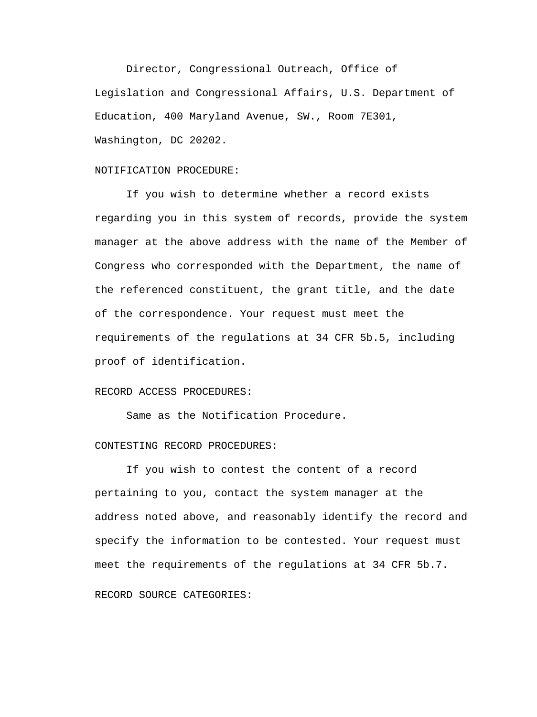Director, Congressional Outreach, Office of Legislation and Congressional Affairs, U.S. Department of Education, 400 Maryland Avenue, SW., Room 7E301, Washington, DC 20202.

### NOTIFICATION PROCEDURE:

If you wish to determine whether a record exists regarding you in this system of records, provide the system manager at the above address with the name of the Member of Congress who corresponded with the Department, the name of the referenced constituent, the grant title, and the date of the correspondence. Your request must meet the requirements of the regulations at 34 CFR 5b.5, including proof of identification.

## RECORD ACCESS PROCEDURES:

Same as the Notification Procedure.

# CONTESTING RECORD PROCEDURES:

If you wish to contest the content of a record pertaining to you, contact the system manager at the address noted above, and reasonably identify the record and specify the information to be contested. Your request must meet the requirements of the regulations at 34 CFR 5b.7. RECORD SOURCE CATEGORIES: